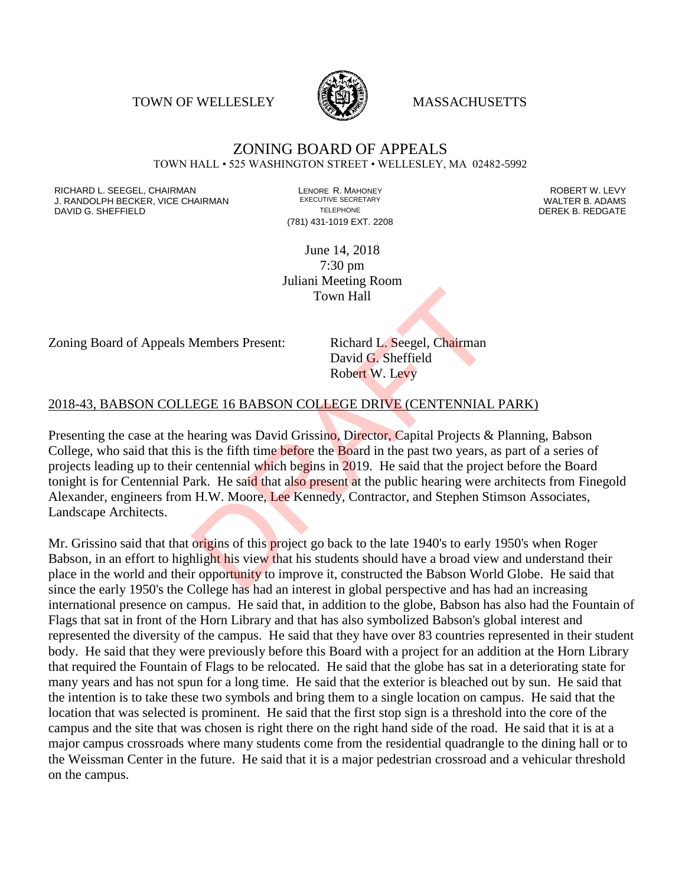TOWN OF WELLESLEY **WASSACHUSETTS** 



## ZONING BOARD OF APPEALS TOWN HALL • 525 WASHINGTON STREET • WELLESLEY, MA 02482-5992

RICHARD L. SEEGEL, CHAIRMAN LENORE R. MAHONEY ROBERT W. LEVY J. RANDOLPH BECKER, VICE CHAIRMAN EXECUTIVE SECRETARY OF TELEPHONE DAVID G. SHEFFIELD **TELEPHONE** TELEPHONE TELEPHONE **TELEPHONE DEREK B. REDGATE** 

(781) 431-1019 EXT. 2208

June 14, 2018 7:30 pm Juliani Meeting Room Town Hall

Zoning Board of Appeals Members Present: Richard L. Seegel, Chairman

David G. Sheffield Robert W. Levy

## 2018-43, BABSON COLLEGE 16 BABSON COLLEGE DRIVE (CENTENNIAL PARK)

Presenting the case at the hearing was David Grissino, Director, Capital Projects & Planning, Babson College, who said that this is the fifth time before the Board in the past two years, as part of a series of projects leading up to their centennial which begins in 2019. He said that the project before the Board tonight is for Centennial Park. He said that also present at the public hearing were architects from Finegold Alexander, engineers from H.W. Moore, Lee Kennedy, Contractor, and Stephen Stimson Associates, Landscape Architects. Town Hall<br>Members Present: Richard L. Seegel, Chairman<br>David G. Sheffield<br>Robert W. Levy<br>EGE 16 BABSON COLLEGE DRIVE (CENTENNIAL<br>nearing was David Grissino, Director, Capital Projects &<br>is the fifth time before the Board i

Mr. Grissino said that that origins of this project go back to the late 1940's to early 1950's when Roger Babson, in an effort to highlight his view that his students should have a broad view and understand their place in the world and their opportunity to improve it, constructed the Babson World Globe. He said that since the early 1950's the College has had an interest in global perspective and has had an increasing international presence on campus. He said that, in addition to the globe, Babson has also had the Fountain of Flags that sat in front of the Horn Library and that has also symbolized Babson's global interest and represented the diversity of the campus. He said that they have over 83 countries represented in their student body. He said that they were previously before this Board with a project for an addition at the Horn Library that required the Fountain of Flags to be relocated. He said that the globe has sat in a deteriorating state for many years and has not spun for a long time. He said that the exterior is bleached out by sun. He said that the intention is to take these two symbols and bring them to a single location on campus. He said that the location that was selected is prominent. He said that the first stop sign is a threshold into the core of the campus and the site that was chosen is right there on the right hand side of the road. He said that it is at a major campus crossroads where many students come from the residential quadrangle to the dining hall or to the Weissman Center in the future. He said that it is a major pedestrian crossroad and a vehicular threshold on the campus.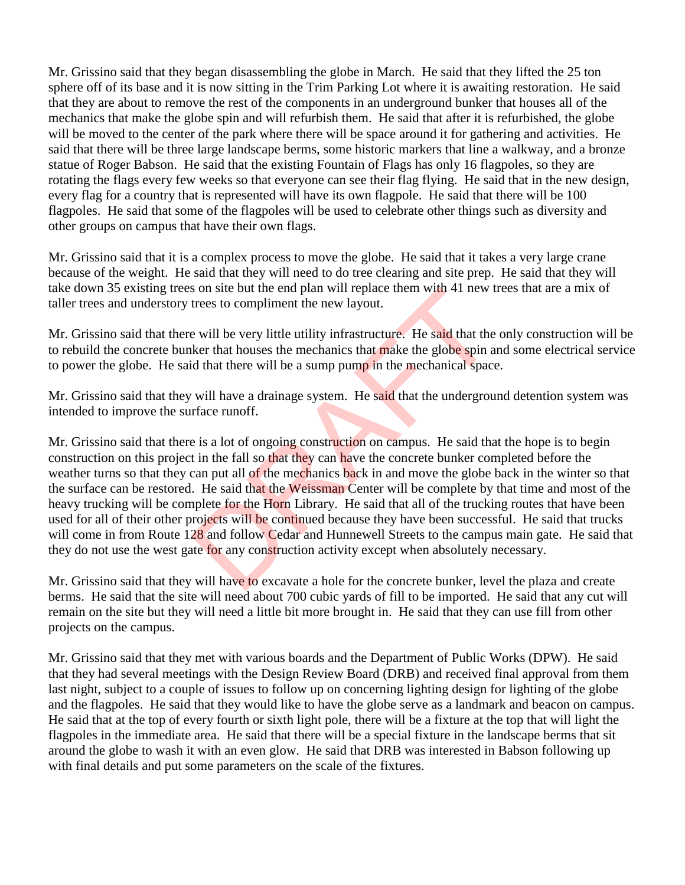Mr. Grissino said that they began disassembling the globe in March. He said that they lifted the 25 ton sphere off of its base and it is now sitting in the Trim Parking Lot where it is awaiting restoration. He said that they are about to remove the rest of the components in an underground bunker that houses all of the mechanics that make the globe spin and will refurbish them. He said that after it is refurbished, the globe will be moved to the center of the park where there will be space around it for gathering and activities. He said that there will be three large landscape berms, some historic markers that line a walkway, and a bronze statue of Roger Babson. He said that the existing Fountain of Flags has only 16 flagpoles, so they are rotating the flags every few weeks so that everyone can see their flag flying. He said that in the new design, every flag for a country that is represented will have its own flagpole. He said that there will be 100 flagpoles. He said that some of the flagpoles will be used to celebrate other things such as diversity and other groups on campus that have their own flags.

Mr. Grissino said that it is a complex process to move the globe. He said that it takes a very large crane because of the weight. He said that they will need to do tree clearing and site prep. He said that they will take down 35 existing trees on site but the end plan will replace them with 41 new trees that are a mix of taller trees and understory trees to compliment the new layout.

Mr. Grissino said that there will be very little utility infrastructure. He said that the only construction will be to rebuild the concrete bunker that houses the mechanics that make the globe spin and some electrical service to power the globe. He said that there will be a sump pump in the mechanical space.

Mr. Grissino said that they will have a drainage system. He said that the underground detention system was intended to improve the surface runoff.

Mr. Grissino said that there is a lot of ongoing construction on campus. He said that the hope is to begin construction on this project in the fall so that they can have the concrete bunker completed before the weather turns so that they can put all of the mechanics back in and move the globe back in the winter so that the surface can be restored. He said that the Weissman Center will be complete by that time and most of the heavy trucking will be complete for the Horn Library. He said that all of the trucking routes that have been used for all of their other projects will be continued because they have been successful. He said that trucks will come in from Route 128 and follow Cedar and Hunnewell Streets to the campus main gate. He said that they do not use the west gate for any construction activity except when absolutely necessary. s on site but the end plan will replace them with 41 new trees to compliment the new layout.<br>
Le will be very little utility infrastructure. He said that the<br>
ker that houses the mechanics that make the globe spin a<br>
d tha

Mr. Grissino said that they will have to excavate a hole for the concrete bunker, level the plaza and create berms. He said that the site will need about 700 cubic yards of fill to be imported. He said that any cut will remain on the site but they will need a little bit more brought in. He said that they can use fill from other projects on the campus.

Mr. Grissino said that they met with various boards and the Department of Public Works (DPW). He said that they had several meetings with the Design Review Board (DRB) and received final approval from them last night, subject to a couple of issues to follow up on concerning lighting design for lighting of the globe and the flagpoles. He said that they would like to have the globe serve as a landmark and beacon on campus. He said that at the top of every fourth or sixth light pole, there will be a fixture at the top that will light the flagpoles in the immediate area. He said that there will be a special fixture in the landscape berms that sit around the globe to wash it with an even glow. He said that DRB was interested in Babson following up with final details and put some parameters on the scale of the fixtures.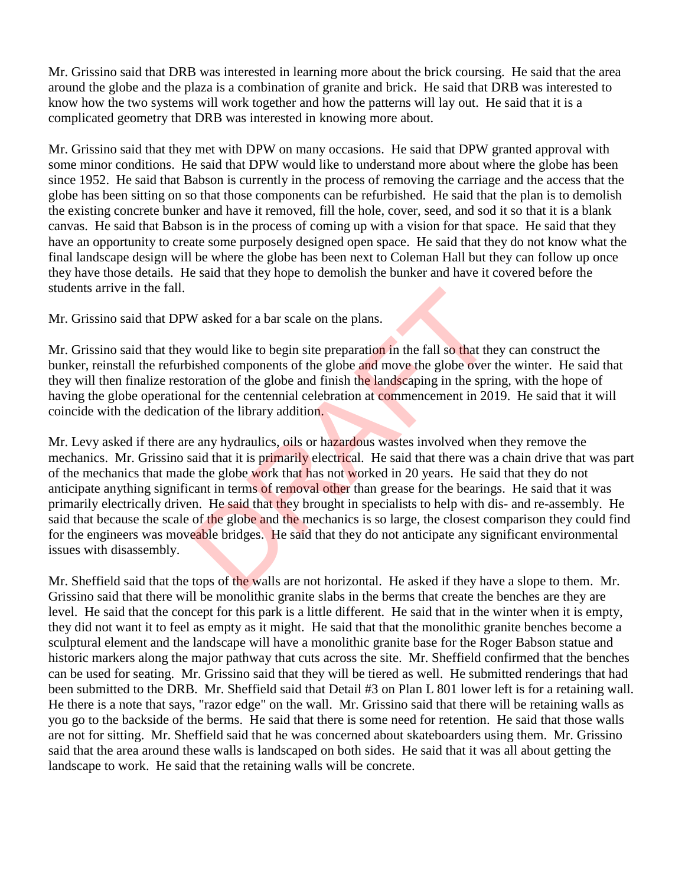Mr. Grissino said that DRB was interested in learning more about the brick coursing. He said that the area around the globe and the plaza is a combination of granite and brick. He said that DRB was interested to know how the two systems will work together and how the patterns will lay out. He said that it is a complicated geometry that DRB was interested in knowing more about.

Mr. Grissino said that they met with DPW on many occasions. He said that DPW granted approval with some minor conditions. He said that DPW would like to understand more about where the globe has been since 1952. He said that Babson is currently in the process of removing the carriage and the access that the globe has been sitting on so that those components can be refurbished. He said that the plan is to demolish the existing concrete bunker and have it removed, fill the hole, cover, seed, and sod it so that it is a blank canvas. He said that Babson is in the process of coming up with a vision for that space. He said that they have an opportunity to create some purposely designed open space. He said that they do not know what the final landscape design will be where the globe has been next to Coleman Hall but they can follow up once they have those details. He said that they hope to demolish the bunker and have it covered before the students arrive in the fall.

Mr. Grissino said that DPW asked for a bar scale on the plans.

Mr. Grissino said that they would like to begin site preparation in the fall so that they can construct the bunker, reinstall the refurbished components of the globe and move the globe over the winter. He said that they will then finalize restoration of the globe and finish the landscaping in the spring, with the hope of having the globe operational for the centennial celebration at commencement in 2019. He said that it will coincide with the dedication of the library addition.

Mr. Levy asked if there are any hydraulics, oils or hazardous wastes involved when they remove the mechanics. Mr. Grissino said that it is primarily electrical. He said that there was a chain drive that was part of the mechanics that made the globe work that has not worked in 20 years. He said that they do not anticipate anything significant in terms of removal other than grease for the bearings. He said that it was primarily electrically driven. He said that they brought in specialists to help with dis- and re-assembly. He said that because the scale of the globe and the mechanics is so large, the closest comparison they could find for the engineers was moveable bridges. He said that they do not anticipate any significant environmental issues with disassembly. W asked for a bar scale on the plans.<br>
would like to begin site preparation in the fall so that the<br>
shed components of the globe and move the globe over<br>
pration of the globe and finish the landscaping in the sprit<br>
all f

Mr. Sheffield said that the tops of the walls are not horizontal. He asked if they have a slope to them. Mr. Grissino said that there will be monolithic granite slabs in the berms that create the benches are they are level. He said that the concept for this park is a little different. He said that in the winter when it is empty, they did not want it to feel as empty as it might. He said that that the monolithic granite benches become a sculptural element and the landscape will have a monolithic granite base for the Roger Babson statue and historic markers along the major pathway that cuts across the site. Mr. Sheffield confirmed that the benches can be used for seating. Mr. Grissino said that they will be tiered as well. He submitted renderings that had been submitted to the DRB. Mr. Sheffield said that Detail #3 on Plan L 801 lower left is for a retaining wall. He there is a note that says, "razor edge" on the wall. Mr. Grissino said that there will be retaining walls as you go to the backside of the berms. He said that there is some need for retention. He said that those walls are not for sitting. Mr. Sheffield said that he was concerned about skateboarders using them. Mr. Grissino said that the area around these walls is landscaped on both sides. He said that it was all about getting the landscape to work. He said that the retaining walls will be concrete.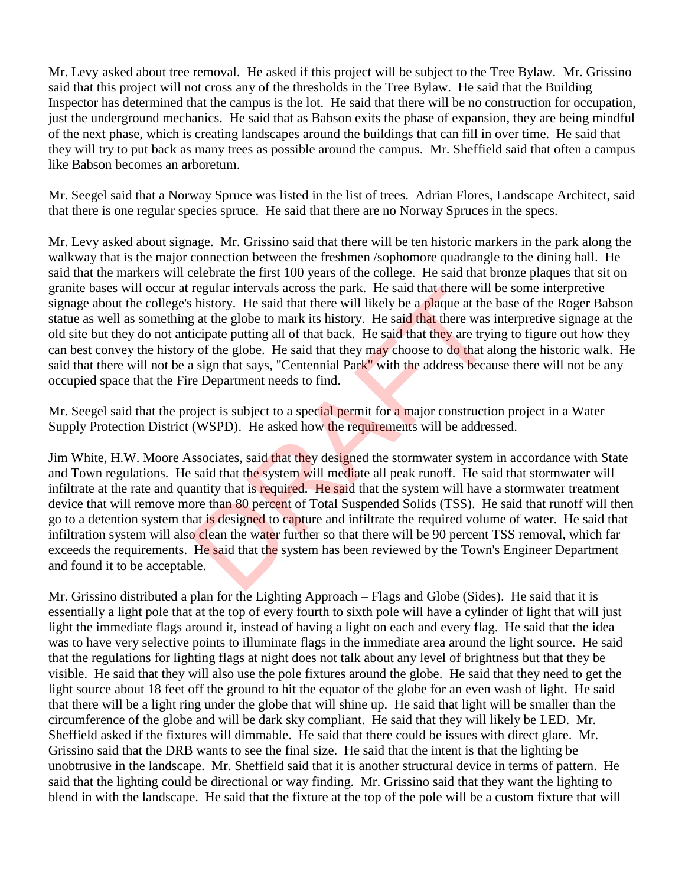Mr. Levy asked about tree removal. He asked if this project will be subject to the Tree Bylaw. Mr. Grissino said that this project will not cross any of the thresholds in the Tree Bylaw. He said that the Building Inspector has determined that the campus is the lot. He said that there will be no construction for occupation, just the underground mechanics. He said that as Babson exits the phase of expansion, they are being mindful of the next phase, which is creating landscapes around the buildings that can fill in over time. He said that they will try to put back as many trees as possible around the campus. Mr. Sheffield said that often a campus like Babson becomes an arboretum.

Mr. Seegel said that a Norway Spruce was listed in the list of trees. Adrian Flores, Landscape Architect, said that there is one regular species spruce. He said that there are no Norway Spruces in the specs.

Mr. Levy asked about signage. Mr. Grissino said that there will be ten historic markers in the park along the walkway that is the major connection between the freshmen /sophomore quadrangle to the dining hall. He said that the markers will celebrate the first 100 years of the college. He said that bronze plaques that sit on granite bases will occur at regular intervals across the park. He said that there will be some interpretive signage about the college's history. He said that there will likely be a plaque at the base of the Roger Babson statue as well as something at the globe to mark its history. He said that there was interpretive signage at the old site but they do not anticipate putting all of that back. He said that they are trying to figure out how they can best convey the history of the globe. He said that they may choose to do that along the historic walk. He said that there will not be a sign that says, "Centennial Park" with the address because there will not be any occupied space that the Fire Department needs to find.

Mr. Seegel said that the project is subject to a special permit for a major construction project in a Water Supply Protection District (WSPD). He asked how the requirements will be addressed.

Jim White, H.W. Moore Associates, said that they designed the stormwater system in accordance with State and Town regulations. He said that the system will mediate all peak runoff. He said that stormwater will infiltrate at the rate and quantity that is required. He said that the system will have a stormwater treatment device that will remove more than 80 percent of Total Suspended Solids (TSS). He said that runoff will then go to a detention system that is designed to capture and infiltrate the required volume of water. He said that infiltration system will also clean the water further so that there will be 90 percent TSS removal, which far exceeds the requirements. He said that the system has been reviewed by the Town's Engineer Department and found it to be acceptable. regular intervals across the park. He said that there will<br>history. He said that there will likely be a plaque at the<br>g at the globe to mark its history. He said that there was i<br>cicipate putting all of that back. He said

Mr. Grissino distributed a plan for the Lighting Approach – Flags and Globe (Sides). He said that it is essentially a light pole that at the top of every fourth to sixth pole will have a cylinder of light that will just light the immediate flags around it, instead of having a light on each and every flag. He said that the idea was to have very selective points to illuminate flags in the immediate area around the light source. He said that the regulations for lighting flags at night does not talk about any level of brightness but that they be visible. He said that they will also use the pole fixtures around the globe. He said that they need to get the light source about 18 feet off the ground to hit the equator of the globe for an even wash of light. He said that there will be a light ring under the globe that will shine up. He said that light will be smaller than the circumference of the globe and will be dark sky compliant. He said that they will likely be LED. Mr. Sheffield asked if the fixtures will dimmable. He said that there could be issues with direct glare. Mr. Grissino said that the DRB wants to see the final size. He said that the intent is that the lighting be unobtrusive in the landscape. Mr. Sheffield said that it is another structural device in terms of pattern. He said that the lighting could be directional or way finding. Mr. Grissino said that they want the lighting to blend in with the landscape. He said that the fixture at the top of the pole will be a custom fixture that will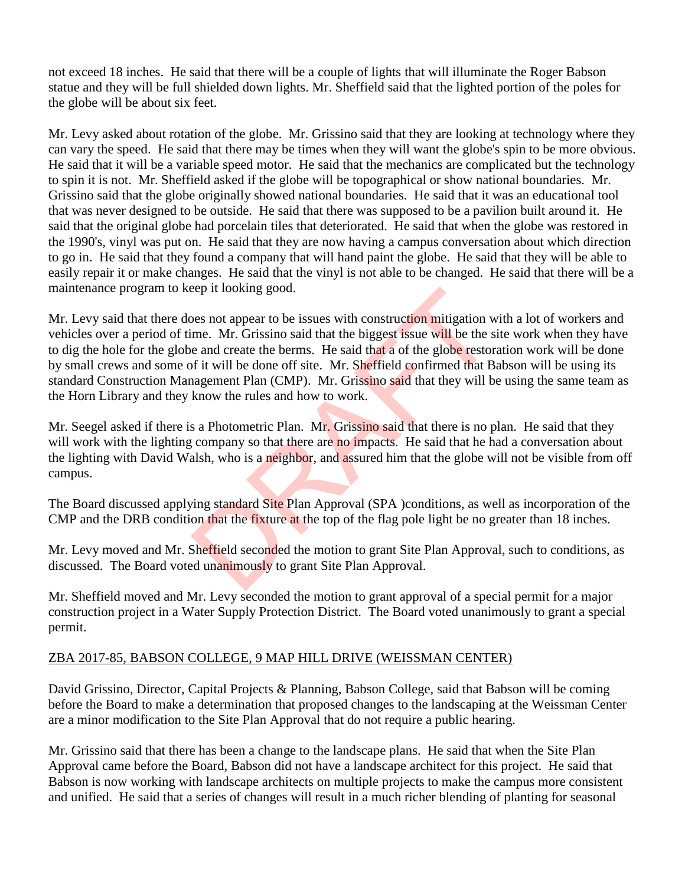not exceed 18 inches. He said that there will be a couple of lights that will illuminate the Roger Babson statue and they will be full shielded down lights. Mr. Sheffield said that the lighted portion of the poles for the globe will be about six feet.

Mr. Levy asked about rotation of the globe. Mr. Grissino said that they are looking at technology where they can vary the speed. He said that there may be times when they will want the globe's spin to be more obvious. He said that it will be a variable speed motor. He said that the mechanics are complicated but the technology to spin it is not. Mr. Sheffield asked if the globe will be topographical or show national boundaries. Mr. Grissino said that the globe originally showed national boundaries. He said that it was an educational tool that was never designed to be outside. He said that there was supposed to be a pavilion built around it. He said that the original globe had porcelain tiles that deteriorated. He said that when the globe was restored in the 1990's, vinyl was put on. He said that they are now having a campus conversation about which direction to go in. He said that they found a company that will hand paint the globe. He said that they will be able to easily repair it or make changes. He said that the vinyl is not able to be changed. He said that there will be a maintenance program to keep it looking good.

Mr. Levy said that there does not appear to be issues with construction mitigation with a lot of workers and vehicles over a period of time. Mr. Grissino said that the biggest issue will be the site work when they have to dig the hole for the globe and create the berms. He said that a of the globe restoration work will be done by small crews and some of it will be done off site. Mr. Sheffield confirmed that Babson will be using its standard Construction Management Plan (CMP). Mr. Grissino said that they will be using the same team as the Horn Library and they know the rules and how to work. eep it looking good.<br>
Des not appear to be issues with construction mitigation with the me. Mr. Grissino said that the biggest issue will be the se and create the berms. He said that a of the globe restor of it will be don

Mr. Seegel asked if there is a Photometric Plan. Mr. Grissino said that there is no plan. He said that they will work with the lighting company so that there are no impacts. He said that he had a conversation about the lighting with David Walsh, who is a neighbor, and assured him that the globe will not be visible from off campus.

The Board discussed applying standard Site Plan Approval (SPA) conditions, as well as incorporation of the CMP and the DRB condition that the fixture at the top of the flag pole light be no greater than 18 inches.

Mr. Levy moved and Mr. Sheffield seconded the motion to grant Site Plan Approval, such to conditions, as discussed. The Board voted unanimously to grant Site Plan Approval.

Mr. Sheffield moved and Mr. Levy seconded the motion to grant approval of a special permit for a major construction project in a Water Supply Protection District. The Board voted unanimously to grant a special permit.

## ZBA 2017-85, BABSON COLLEGE, 9 MAP HILL DRIVE (WEISSMAN CENTER)

David Grissino, Director, Capital Projects & Planning, Babson College, said that Babson will be coming before the Board to make a determination that proposed changes to the landscaping at the Weissman Center are a minor modification to the Site Plan Approval that do not require a public hearing.

Mr. Grissino said that there has been a change to the landscape plans. He said that when the Site Plan Approval came before the Board, Babson did not have a landscape architect for this project. He said that Babson is now working with landscape architects on multiple projects to make the campus more consistent and unified. He said that a series of changes will result in a much richer blending of planting for seasonal